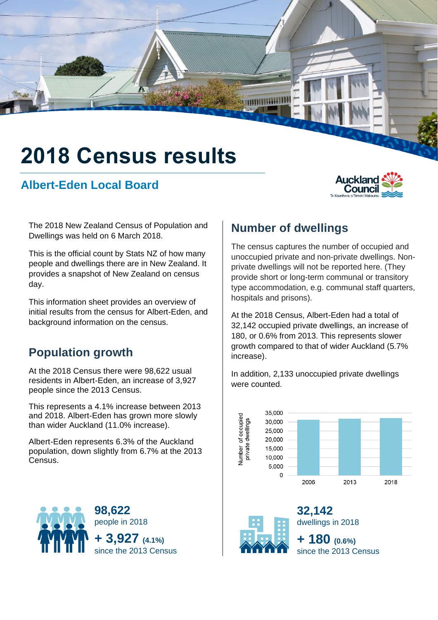# **2018 Census results**

### **Albert-Eden Local Board**



The 2018 New Zealand Census of Population and Dwellings was held on 6 March 2018.

This is the official count by Stats NZ of how many people and dwellings there are in New Zealand. It provides a snapshot of New Zealand on census day.

This information sheet provides an overview of initial results from the census for Albert-Eden, and background information on the census.

### **Population growth**

At the 2018 Census there were 98,622 usual residents in Albert-Eden, an increase of 3,927 people since the 2013 Census.

This represents a 4.1% increase between 2013 and 2018. Albert-Eden has grown more slowly than wider Auckland (11.0% increase).

Albert-Eden represents 6.3% of the Auckland population, down slightly from 6.7% at the 2013 Census.



## **Number of dwellings**

**Sammulli** 

The census captures the number of occupied and unoccupied private and non-private dwellings. Nonprivate dwellings will not be reported here. (They provide short or long-term communal or transitory type accommodation, e.g. communal staff quarters, hospitals and prisons).

At the 2018 Census, Albert-Eden had a total of 32,142 occupied private dwellings, an increase of 180, or 0.6% from 2013. This represents slower growth compared to that of wider Auckland (5.7% increase).

In addition, 2,133 unoccupied private dwellings were counted.



**32,142**



dwellings in 2018 **+ 180 (0.6%)** since the 2013 Census